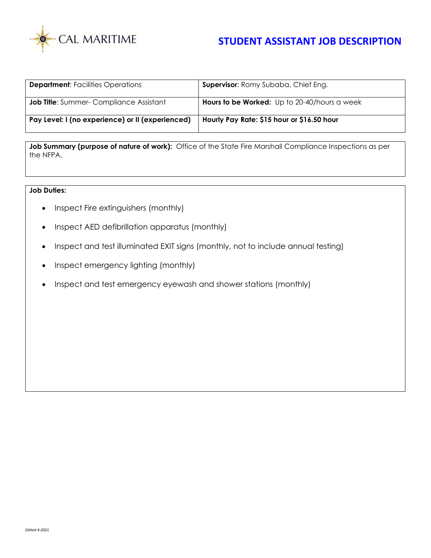

## **STUDENT ASSISTANT JOB DESCRIPTION**

| <b>Department:</b> Facilities Operations         | <b>Supervisor:</b> Romy Subaba, Chief Eng.   |
|--------------------------------------------------|----------------------------------------------|
| <b>Job Title:</b> Summer- Compliance Assistant   | Hours to be Worked: Up to 20-40/hours a week |
| Pay Level: I (no experience) or II (experienced) | Hourly Pay Rate: \$15 hour or \$16.50 hour   |

Job Summary (purpose of nature of work): Office of the State Fire Marshall Compliance Inspections as per the NFPA.

## **Job Duties:**

- Inspect Fire extinguishers (monthly)
- Inspect AED defibrillation apparatus (monthly)
- Inspect and test illuminated EXIT signs (monthly, not to include annual testing)
- Inspect emergency lighting (monthly)
- Inspect and test emergency eyewash and shower stations (monthly)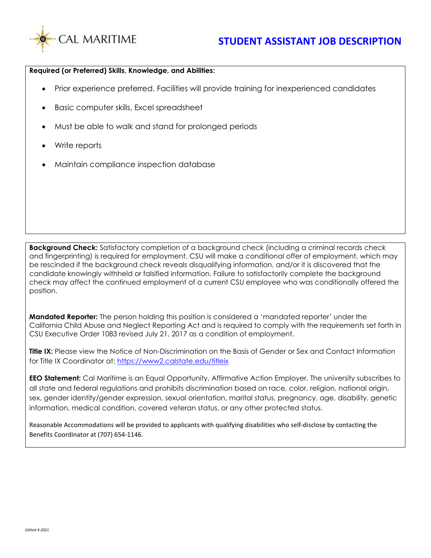

## **Required (or Preferred) Skills, Knowledge, and Abilities:**

- Prior experience preferred. Facilities will provide training for inexperienced candidates
- Basic computer skills, Excel spreadsheet
- Must be able to walk and stand for prolonged periods
- Write reports
- Maintain compliance inspection database

**Background Check:** Satisfactory completion of a background check (including a criminal records check and fingerprinting) is required for employment. CSU will make a conditional offer of employment, which may be rescinded if the background check reveals disqualifying information, and/or it is discovered that the candidate knowingly withheld or falsified information. Failure to satisfactorily complete the background check may affect the continued employment of a current CSU employee who was conditionally offered the position.

**Mandated Reporter:** The person holding this position is considered a 'mandated reporter' under the California Child Abuse and Neglect Reporting Act and is required to comply with the requirements set forth in CSU Executive Order 1083 revised July 21, 2017 as a condition of employment.

**Title IX:** Please view the Notice of Non-Discrimination on the Basis of Gender or Sex and Contact Information for Title IX Coordinator at:<https://www2.calstate.edu/titleix>

**EEO Statement:** Cal Maritime is an Equal Opportunity, Affirmative Action Employer. The university subscribes to all state and federal regulations and prohibits discrimination based on race, color, religion, national origin, sex, gender identity/gender expression, sexual orientation, marital status, pregnancy, age, disability, genetic information, medical condition, covered veteran status, or any other protected status.

Reasonable Accommodations will be provided to applicants with qualifying disabilities who self-disclose by contacting the Benefits Coordinator at (707) 654-1146.